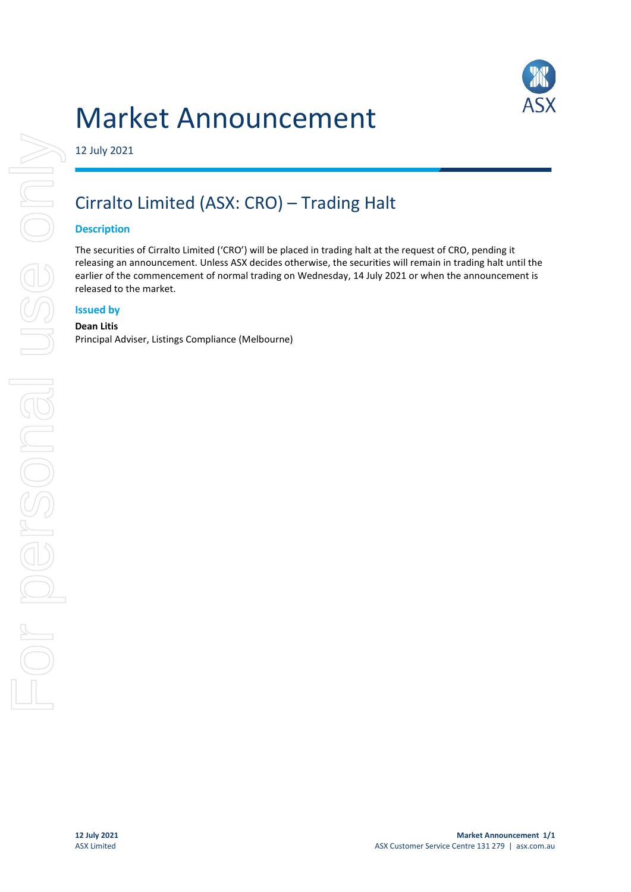

# Market Announcement

12 July 2021

# Cirralto Limited (ASX: CRO) – Trading Halt

## **Description**

The securities of Cirralto Limited ('CRO') will be placed in trading halt at the request of CRO, pending it releasing an announcement. Unless ASX decides otherwise, the securities will remain in trading halt until the earlier of the commencement of normal trading on Wednesday, 14 July 2021 or when the announcement is released to the market.

## **Issued by**

#### **Dean Litis**

Principal Adviser, Listings Compliance (Melbourne)